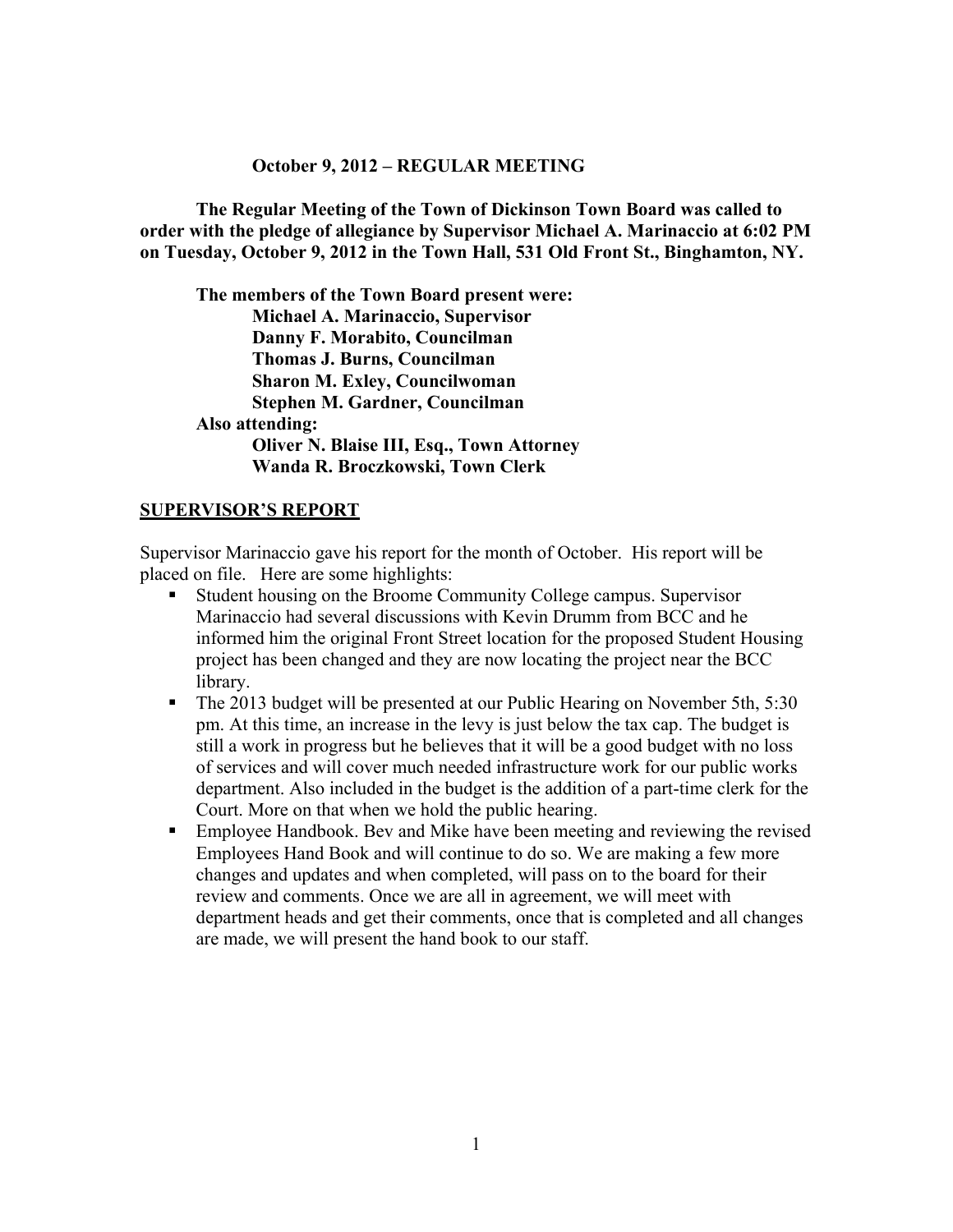#### **October 9, 2012 – REGULAR MEETING**

**The Regular Meeting of the Town of Dickinson Town Board was called to order with the pledge of allegiance by Supervisor Michael A. Marinaccio at 6:02 PM on Tuesday, October 9, 2012 in the Town Hall, 531 Old Front St., Binghamton, NY.** 

**The members of the Town Board present were: Michael A. Marinaccio, Supervisor Danny F. Morabito, Councilman Thomas J. Burns, Councilman Sharon M. Exley, Councilwoman Stephen M. Gardner, Councilman Also attending: Oliver N. Blaise III, Esq., Town Attorney Wanda R. Broczkowski, Town Clerk** 

#### **SUPERVISOR'S REPORT**

Supervisor Marinaccio gave his report for the month of October. His report will be placed on file. Here are some highlights:

- Student housing on the Broome Community College campus. Supervisor Marinaccio had several discussions with Kevin Drumm from BCC and he informed him the original Front Street location for the proposed Student Housing project has been changed and they are now locating the project near the BCC library.
- The 2013 budget will be presented at our Public Hearing on November 5th, 5:30 pm. At this time, an increase in the levy is just below the tax cap. The budget is still a work in progress but he believes that it will be a good budget with no loss of services and will cover much needed infrastructure work for our public works department. Also included in the budget is the addition of a part-time clerk for the Court. More on that when we hold the public hearing.
- Employee Handbook. Bev and Mike have been meeting and reviewing the revised Employees Hand Book and will continue to do so. We are making a few more changes and updates and when completed, will pass on to the board for their review and comments. Once we are all in agreement, we will meet with department heads and get their comments, once that is completed and all changes are made, we will present the hand book to our staff.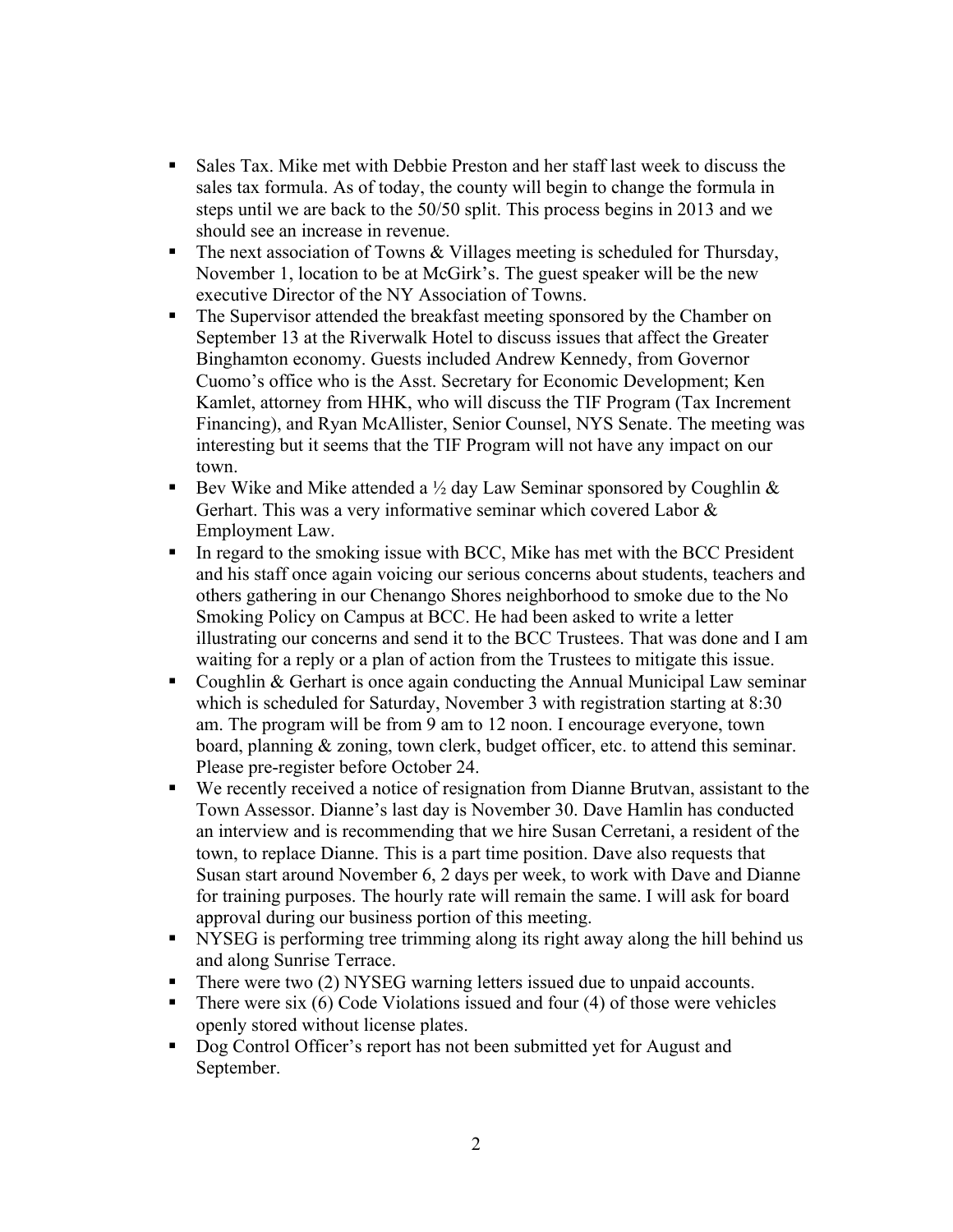- Sales Tax. Mike met with Debbie Preston and her staff last week to discuss the sales tax formula. As of today, the county will begin to change the formula in steps until we are back to the 50/50 split. This process begins in 2013 and we should see an increase in revenue.
- The next association of Towns  $&$  Villages meeting is scheduled for Thursday, November 1, location to be at McGirk's. The guest speaker will be the new executive Director of the NY Association of Towns.
- The Supervisor attended the breakfast meeting sponsored by the Chamber on September 13 at the Riverwalk Hotel to discuss issues that affect the Greater Binghamton economy. Guests included Andrew Kennedy, from Governor Cuomo's office who is the Asst. Secretary for Economic Development; Ken Kamlet, attorney from HHK, who will discuss the TIF Program (Tax Increment Financing), and Ryan McAllister, Senior Counsel, NYS Senate. The meeting was interesting but it seems that the TIF Program will not have any impact on our town.
- Bev Wike and Mike attended a  $\frac{1}{2}$  day Law Seminar sponsored by Coughlin & Gerhart. This was a very informative seminar which covered Labor & Employment Law.
- In regard to the smoking issue with BCC, Mike has met with the BCC President and his staff once again voicing our serious concerns about students, teachers and others gathering in our Chenango Shores neighborhood to smoke due to the No Smoking Policy on Campus at BCC. He had been asked to write a letter illustrating our concerns and send it to the BCC Trustees. That was done and I am waiting for a reply or a plan of action from the Trustees to mitigate this issue.
- Coughlin  $\&$  Gerhart is once again conducting the Annual Municipal Law seminar which is scheduled for Saturday, November 3 with registration starting at 8:30 am. The program will be from 9 am to 12 noon. I encourage everyone, town board, planning & zoning, town clerk, budget officer, etc. to attend this seminar. Please pre-register before October 24.
- We recently received a notice of resignation from Dianne Brutvan, assistant to the Town Assessor. Dianne's last day is November 30. Dave Hamlin has conducted an interview and is recommending that we hire Susan Cerretani, a resident of the town, to replace Dianne. This is a part time position. Dave also requests that Susan start around November 6, 2 days per week, to work with Dave and Dianne for training purposes. The hourly rate will remain the same. I will ask for board approval during our business portion of this meeting.
- NYSEG is performing tree trimming along its right away along the hill behind us and along Sunrise Terrace.
- There were two (2) NYSEG warning letters issued due to unpaid accounts.
- There were six  $(6)$  Code Violations issued and four  $(4)$  of those were vehicles openly stored without license plates.
- Dog Control Officer's report has not been submitted yet for August and September.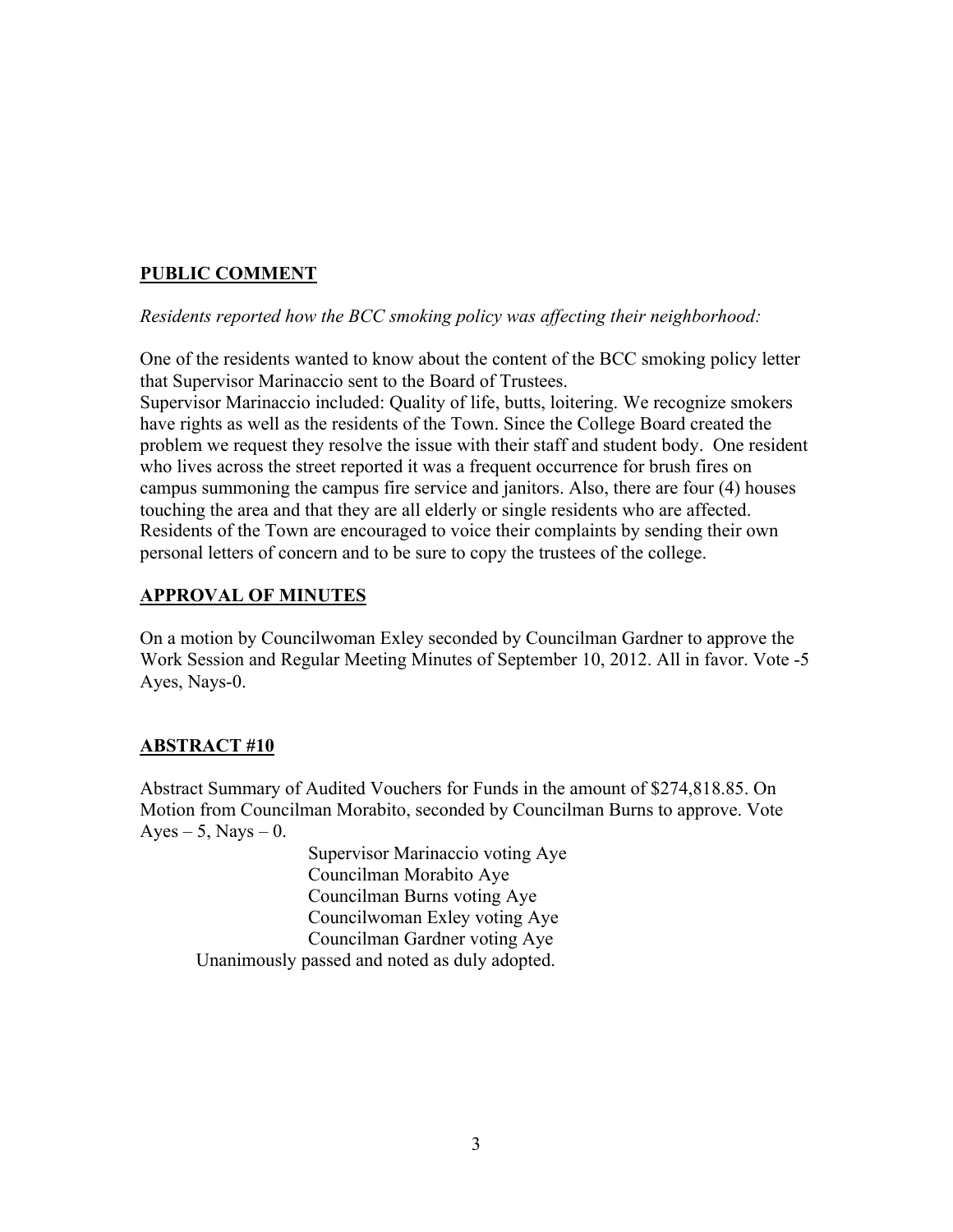# **PUBLIC COMMENT**

*Residents reported how the BCC smoking policy was affecting their neighborhood:*

One of the residents wanted to know about the content of the BCC smoking policy letter that Supervisor Marinaccio sent to the Board of Trustees.

Supervisor Marinaccio included: Quality of life, butts, loitering. We recognize smokers have rights as well as the residents of the Town. Since the College Board created the problem we request they resolve the issue with their staff and student body. One resident who lives across the street reported it was a frequent occurrence for brush fires on campus summoning the campus fire service and janitors. Also, there are four (4) houses touching the area and that they are all elderly or single residents who are affected. Residents of the Town are encouraged to voice their complaints by sending their own personal letters of concern and to be sure to copy the trustees of the college.

# **APPROVAL OF MINUTES**

On a motion by Councilwoman Exley seconded by Councilman Gardner to approve the Work Session and Regular Meeting Minutes of September 10, 2012. All in favor. Vote -5 Ayes, Nays-0.

# **ABSTRACT #10**

Abstract Summary of Audited Vouchers for Funds in the amount of \$274,818.85. On Motion from Councilman Morabito, seconded by Councilman Burns to approve. Vote Ayes – 5, Nays – 0.

Supervisor Marinaccio voting Aye Councilman Morabito Aye Councilman Burns voting Aye Councilwoman Exley voting Aye Councilman Gardner voting Aye Unanimously passed and noted as duly adopted.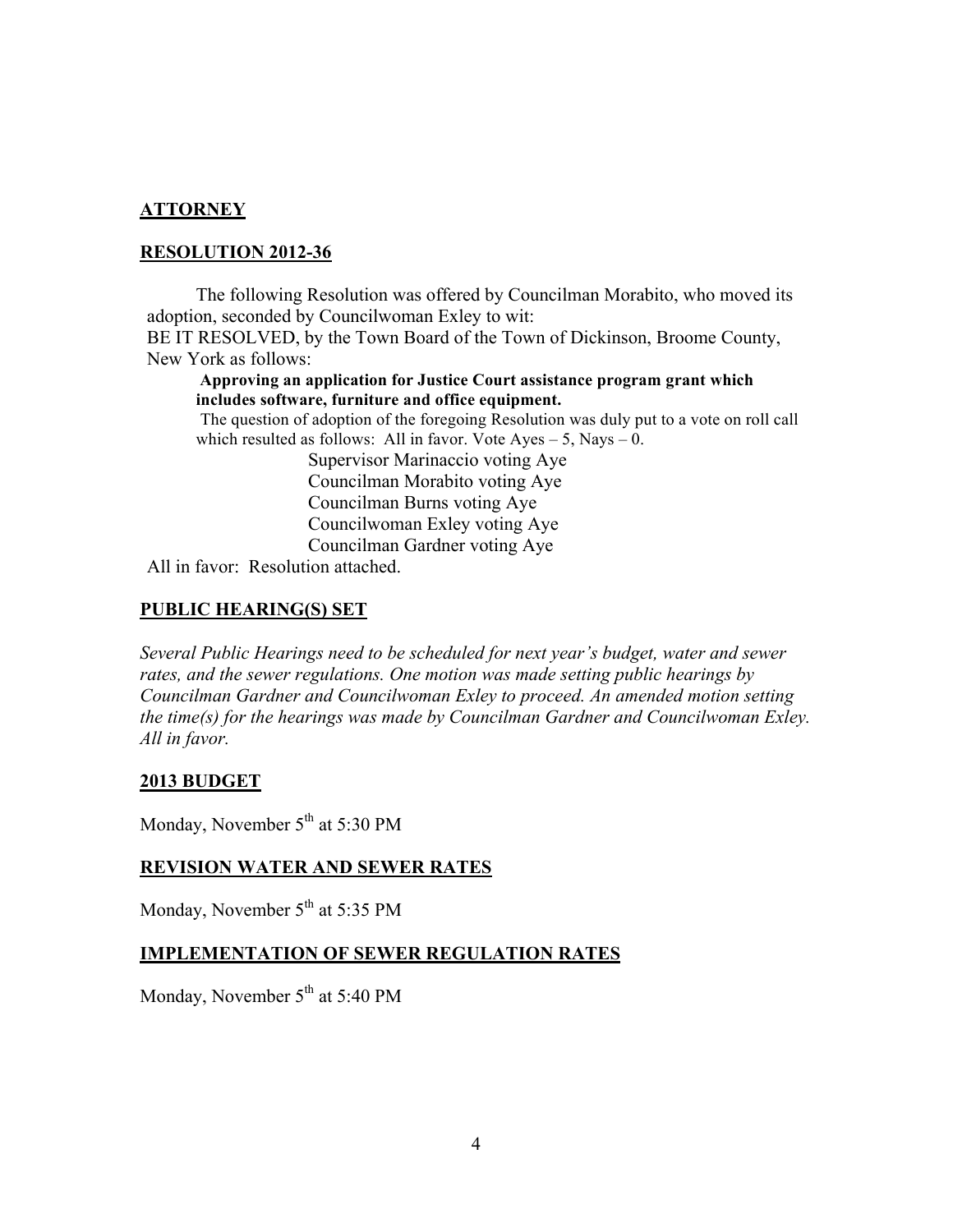## **ATTORNEY**

#### **RESOLUTION 2012-36**

The following Resolution was offered by Councilman Morabito, who moved its adoption, seconded by Councilwoman Exley to wit:

BE IT RESOLVED, by the Town Board of the Town of Dickinson, Broome County, New York as follows:

**Approving an application for Justice Court assistance program grant which includes software, furniture and office equipment.**

 The question of adoption of the foregoing Resolution was duly put to a vote on roll call which resulted as follows: All in favor. Vote  $Ayes - 5$ , Nays  $- 0$ .

> Supervisor Marinaccio voting Aye Councilman Morabito voting Aye Councilman Burns voting Aye Councilwoman Exley voting Aye Councilman Gardner voting Aye

All in favor: Resolution attached.

### **PUBLIC HEARING(S) SET**

*Several Public Hearings need to be scheduled for next year's budget, water and sewer rates, and the sewer regulations. One motion was made setting public hearings by Councilman Gardner and Councilwoman Exley to proceed. An amended motion setting the time(s) for the hearings was made by Councilman Gardner and Councilwoman Exley. All in favor.*

#### **2013 BUDGET**

Monday, November  $5<sup>th</sup>$  at 5:30 PM

#### **REVISION WATER AND SEWER RATES**

Monday, November  $5<sup>th</sup>$  at 5:35 PM

#### **IMPLEMENTATION OF SEWER REGULATION RATES**

Monday, November 5<sup>th</sup> at 5:40 PM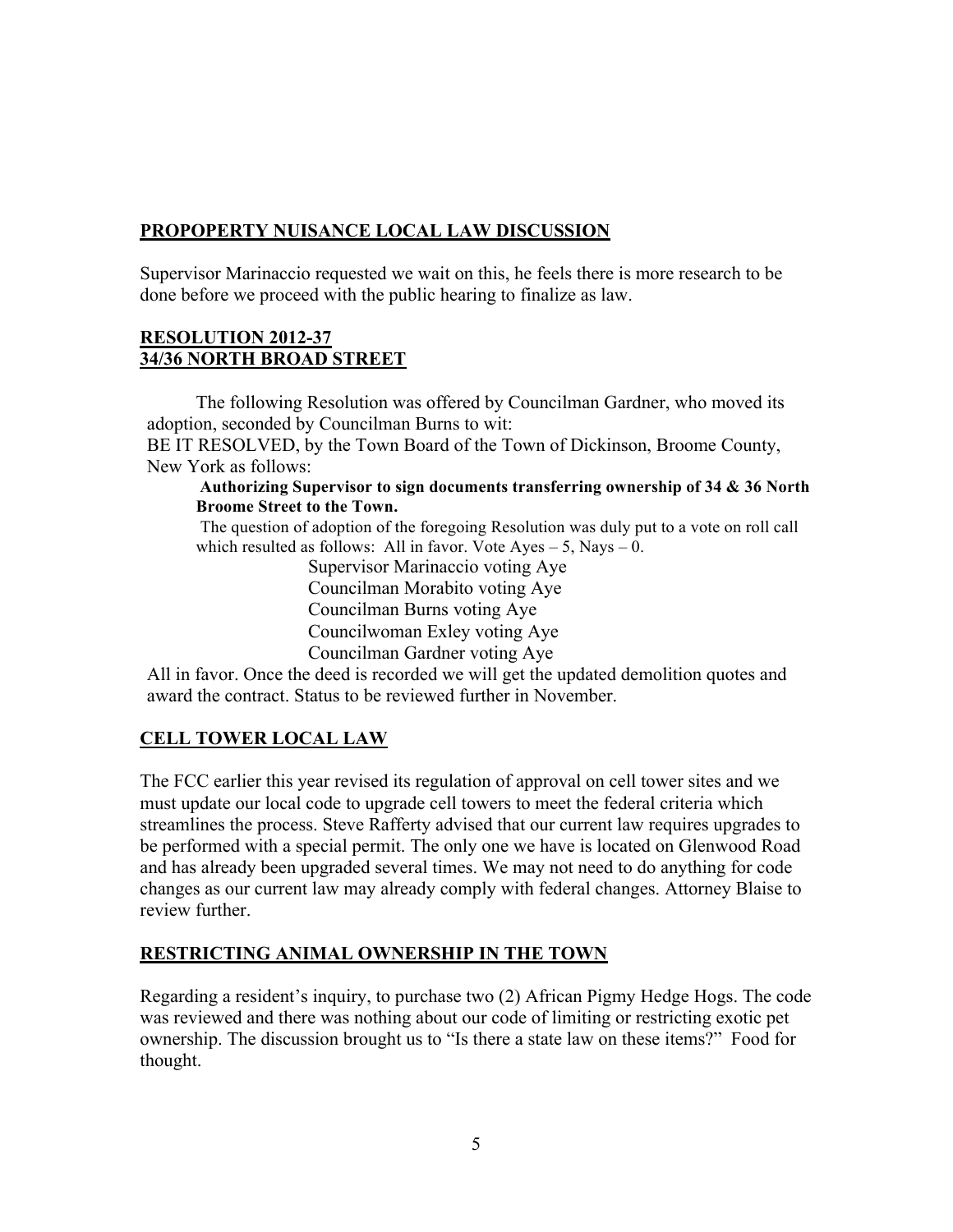# **PROPOPERTY NUISANCE LOCAL LAW DISCUSSION**

Supervisor Marinaccio requested we wait on this, he feels there is more research to be done before we proceed with the public hearing to finalize as law.

### **RESOLUTION 2012-37 34/36 NORTH BROAD STREET**

The following Resolution was offered by Councilman Gardner, who moved its adoption, seconded by Councilman Burns to wit: BE IT RESOLVED, by the Town Board of the Town of Dickinson, Broome County, New York as follows:

**Authorizing Supervisor to sign documents transferring ownership of 34 & 36 North Broome Street to the Town.**

 The question of adoption of the foregoing Resolution was duly put to a vote on roll call which resulted as follows: All in favor. Vote  $Ayes - 5$ , Nays  $- 0$ .

Supervisor Marinaccio voting Aye Councilman Morabito voting Aye Councilman Burns voting Aye Councilwoman Exley voting Aye Councilman Gardner voting Aye

All in favor. Once the deed is recorded we will get the updated demolition quotes and award the contract. Status to be reviewed further in November.

# **CELL TOWER LOCAL LAW**

The FCC earlier this year revised its regulation of approval on cell tower sites and we must update our local code to upgrade cell towers to meet the federal criteria which streamlines the process. Steve Rafferty advised that our current law requires upgrades to be performed with a special permit. The only one we have is located on Glenwood Road and has already been upgraded several times. We may not need to do anything for code changes as our current law may already comply with federal changes. Attorney Blaise to review further.

# **RESTRICTING ANIMAL OWNERSHIP IN THE TOWN**

Regarding a resident's inquiry, to purchase two (2) African Pigmy Hedge Hogs. The code was reviewed and there was nothing about our code of limiting or restricting exotic pet ownership. The discussion brought us to "Is there a state law on these items?" Food for thought.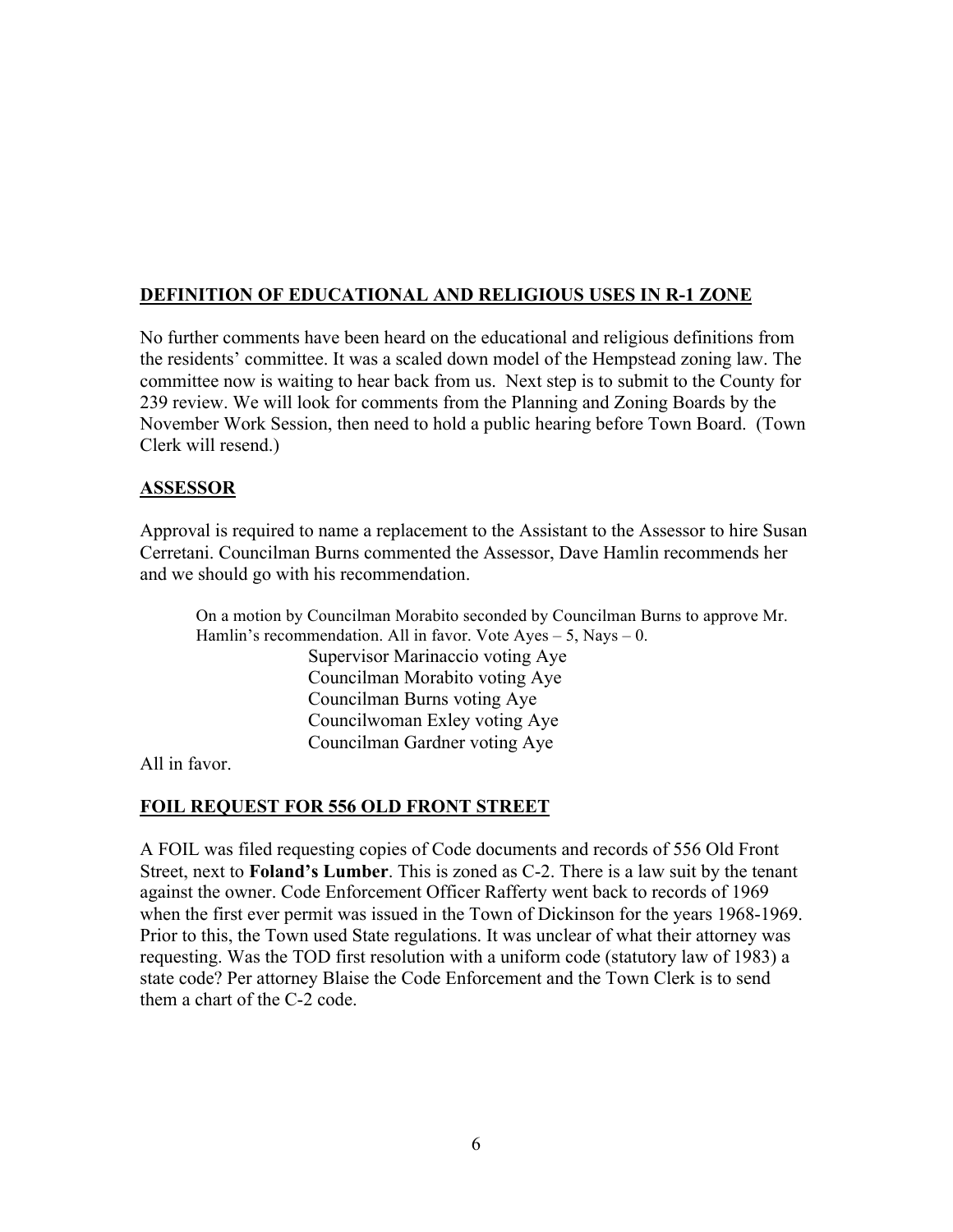# **DEFINITION OF EDUCATIONAL AND RELIGIOUS USES IN R-1 ZONE**

No further comments have been heard on the educational and religious definitions from the residents' committee. It was a scaled down model of the Hempstead zoning law. The committee now is waiting to hear back from us. Next step is to submit to the County for 239 review. We will look for comments from the Planning and Zoning Boards by the November Work Session, then need to hold a public hearing before Town Board. (Town Clerk will resend.)

#### **ASSESSOR**

Approval is required to name a replacement to the Assistant to the Assessor to hire Susan Cerretani. Councilman Burns commented the Assessor, Dave Hamlin recommends her and we should go with his recommendation.

On a motion by Councilman Morabito seconded by Councilman Burns to approve Mr. Hamlin's recommendation. All in favor. Vote  $Ayes - 5$ , Nays  $- 0$ . Supervisor Marinaccio voting Aye Councilman Morabito voting Aye Councilman Burns voting Aye Councilwoman Exley voting Aye Councilman Gardner voting Aye

All in favor.

### **FOIL REQUEST FOR 556 OLD FRONT STREET**

A FOIL was filed requesting copies of Code documents and records of 556 Old Front Street, next to **Foland's Lumber**. This is zoned as C-2. There is a law suit by the tenant against the owner. Code Enforcement Officer Rafferty went back to records of 1969 when the first ever permit was issued in the Town of Dickinson for the years 1968-1969. Prior to this, the Town used State regulations. It was unclear of what their attorney was requesting. Was the TOD first resolution with a uniform code (statutory law of 1983) a state code? Per attorney Blaise the Code Enforcement and the Town Clerk is to send them a chart of the C-2 code.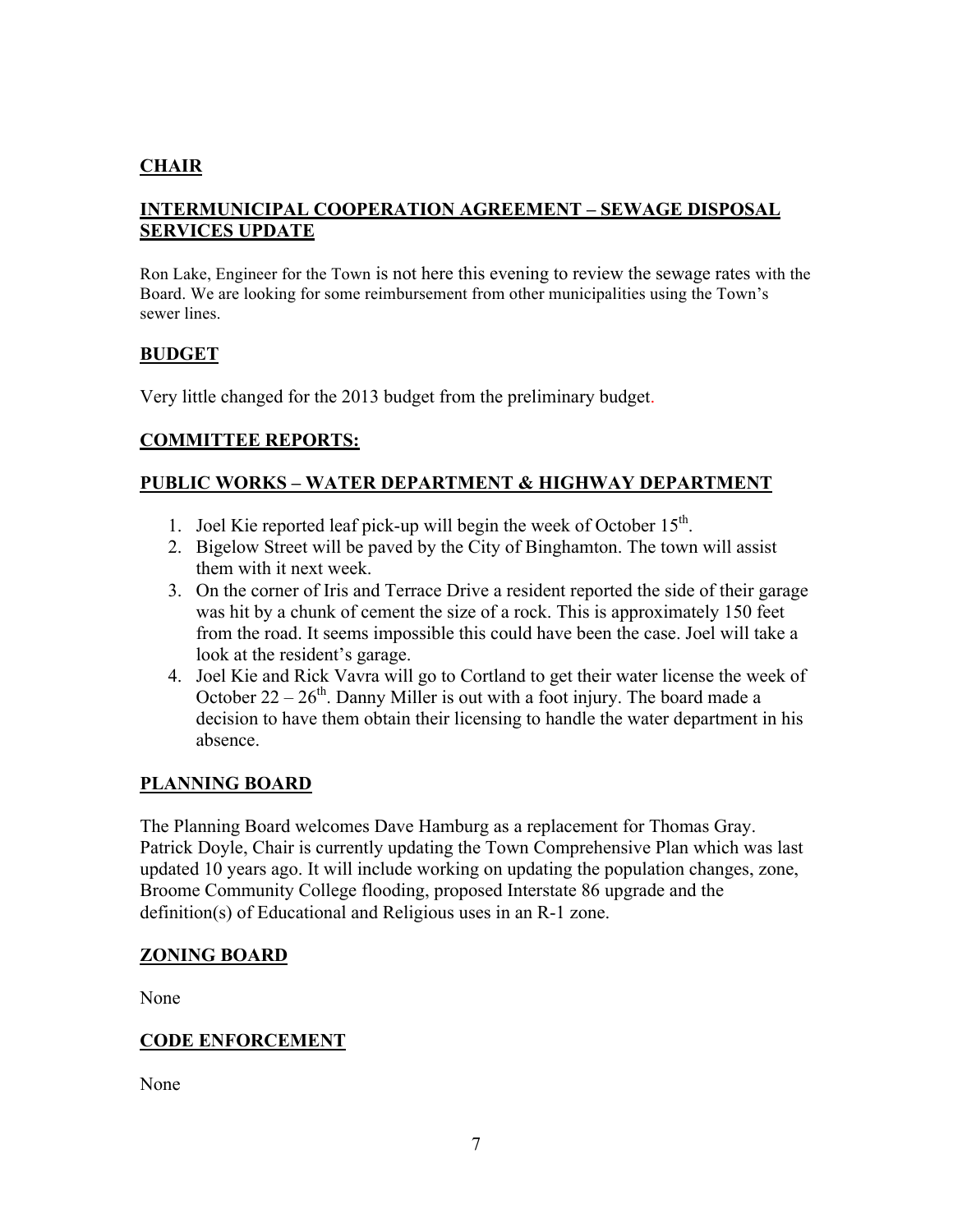## **CHAIR**

## **INTERMUNICIPAL COOPERATION AGREEMENT – SEWAGE DISPOSAL SERVICES UPDATE**

Ron Lake, Engineer for the Town is not here this evening to review the sewage rates with the Board. We are looking for some reimbursement from other municipalities using the Town's sewer lines.

### **BUDGET**

Very little changed for the 2013 budget from the preliminary budget.

### **COMMITTEE REPORTS:**

### **PUBLIC WORKS – WATER DEPARTMENT & HIGHWAY DEPARTMENT**

- 1. Joel Kie reported leaf pick-up will begin the week of October  $15<sup>th</sup>$ .
- 2. Bigelow Street will be paved by the City of Binghamton. The town will assist them with it next week.
- 3. On the corner of Iris and Terrace Drive a resident reported the side of their garage was hit by a chunk of cement the size of a rock. This is approximately 150 feet from the road. It seems impossible this could have been the case. Joel will take a look at the resident's garage.
- 4. Joel Kie and Rick Vavra will go to Cortland to get their water license the week of October  $22 - 26<sup>th</sup>$ . Danny Miller is out with a foot injury. The board made a decision to have them obtain their licensing to handle the water department in his absence.

### **PLANNING BOARD**

The Planning Board welcomes Dave Hamburg as a replacement for Thomas Gray. Patrick Doyle, Chair is currently updating the Town Comprehensive Plan which was last updated 10 years ago. It will include working on updating the population changes, zone, Broome Community College flooding, proposed Interstate 86 upgrade and the definition(s) of Educational and Religious uses in an R-1 zone.

#### **ZONING BOARD**

None

### **CODE ENFORCEMENT**

None